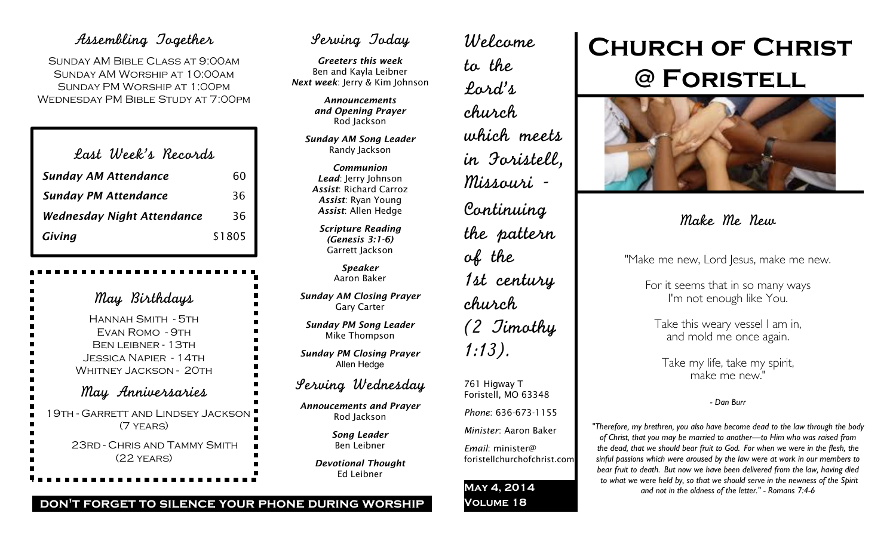### Assembling Together

Sunday AM Bible Class at 9:00am Sunday AM Worship at 10:00am Sunday PM Worship at 1:00pm Wednesday PM Bible Study at 7:00pm

| Last Week's Recards               |        |
|-----------------------------------|--------|
| <b>Sunday AM Attendance</b>       | 60     |
| <b>Sunday PM Attendance</b>       | 36     |
| <b>Wednesday Night Attendance</b> | 36     |
| Giving                            | \$1805 |

May Birthdays Hannah Smith - 5th Evan Romo - 9th BEN LEIBNER - 13TH Jessica Napier - 14th WHITNEY JACKSON - 20TH May Anniversaries 19th - Garrett and Lindsey Jackson (7 years) 23rd - Chris and Tammy Smith (22 years)

## Serving Today

*Greeters this week* Ben and Kayla Leibner *Next week*: Jerry & Kim Johnson

> *Announcements and Opening Prayer* Rod Jackson

*Sunday AM Song Leader* Randy Jackson

*Communion Lead*: Jerry Johnson *Assist*: Richard Carroz *Assist*: Ryan Young *Assist*: Allen Hedge

*Scripture Reading (Genesis 3:1-6)* Garrett Jackson

> *Speaker* Aaron Baker

*Sunday AM Closing Prayer* Gary Carter

*Sunday PM Song Leader* Mike Thompson

*Sunday PM Closing Prayer* Allen Hedge

## Serving Wednesday

*Annoucements and Prayer* Rod Jackson

> *Song Leader* Ben Leibner

*Devotional Thought* Ed Leibner

Welcome to the Lord's church which meets in Foristell, Missouri - Continuing the pattern of the 1st century church (2 Timothy 1:13). 761 Higway T Foristell, MO 63348 *Phone*: 636-673-1155 *Minister*: Aaron Baker

*Email*: minister@

**May 4, 2014 Volume 18**

foristellchurchofchrist.com

# **Church of Christ @ Foristell**



## Make Me New

"Make me new, Lord Jesus, make me new.

For it seems that in so many ways I'm not enough like You.

Take this weary vessel I am in, and mold me once again.

Take my life, take my spirit, make me new."

*- Dan Burr*

*"Therefore, my brethren, you also have become dead to the law through the body of Christ, that you may be married to another—to Him who was raised from the dead, that we should bear fruit to God. For when we were in the flesh, the sinful passions which were aroused by the law were at work in our members to bear fruit to death. But now we have been delivered from the law, having died to what we were held by, so that we should serve in the newness of the Spirit and not in the oldness of the letter." - Romans 7:4-6*

#### **don't forget to silence your phone during worship**